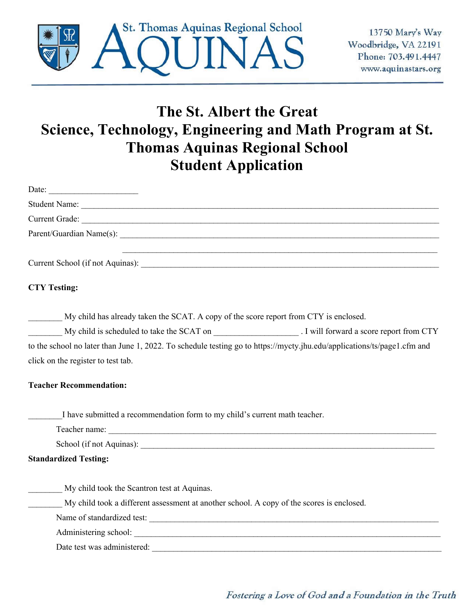

## **The St. Albert the Great Science, Technology, Engineering and Math Program at St. Thomas Aquinas Regional School Student Application**

| Date:                                                                                                                   |
|-------------------------------------------------------------------------------------------------------------------------|
|                                                                                                                         |
|                                                                                                                         |
|                                                                                                                         |
|                                                                                                                         |
| <b>CTY Testing:</b>                                                                                                     |
| My child has already taken the SCAT. A copy of the score report from CTY is enclosed.                                   |
| My child is scheduled to take the SCAT on ______________________. I will forward a score report from CTY                |
| to the school no later than June 1, 2022. To schedule testing go to https://mycty.jhu.edu/applications/ts/page1.cfm and |
| click on the register to test tab.                                                                                      |
| <b>Teacher Recommendation:</b>                                                                                          |
| I have submitted a recommendation form to my child's current math teacher.                                              |
|                                                                                                                         |
|                                                                                                                         |
| <b>Standardized Testing:</b>                                                                                            |
| My child took the Scantron test at Aquinas.                                                                             |
| My child took a different assessment at another school. A copy of the scores is enclosed.                               |
|                                                                                                                         |
|                                                                                                                         |
| Date test was administered:                                                                                             |
|                                                                                                                         |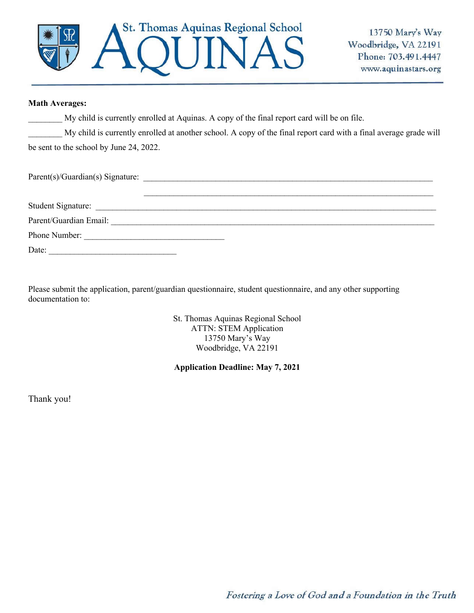

## **Math Averages:**

My child is currently enrolled at Aquinas. A copy of the final report card will be on file.

\_\_\_\_\_\_\_\_ My child is currently enrolled at another school. A copy of the final report card with a final average grade will be sent to the school by June 24, 2022.

 $Parent(s)/Guardian(s)$  Signature:

| Student Signature:     |  |  |
|------------------------|--|--|
| Parent/Guardian Email: |  |  |
| Phone Number:          |  |  |
| Date:                  |  |  |

Please submit the application, parent/guardian questionnaire, student questionnaire, and any other supporting documentation to:

> St. Thomas Aquinas Regional School ATTN: STEM Application 13750 Mary's Way Woodbridge, VA 22191

## **Application Deadline: May 7, 2021**

Thank you!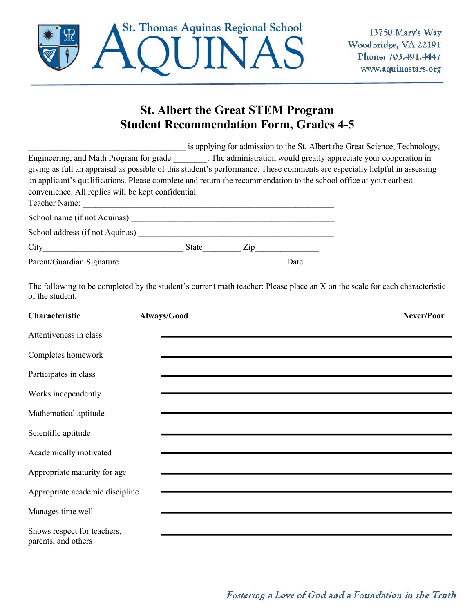

## **St. Albert the Great STEM Program Student Recommendation Form, Grades 4-5**

|                                                                                                                           |       |                                  |      | is applying for admission to the St. Albert the Great Science, Technology, |
|---------------------------------------------------------------------------------------------------------------------------|-------|----------------------------------|------|----------------------------------------------------------------------------|
| Engineering, and Math Program for grade The administration would greatly appreciate your cooperation in                   |       |                                  |      |                                                                            |
| giving as full an appraisal as possible of this student's performance. These comments are especially helpful in assessing |       |                                  |      |                                                                            |
| an applicant's qualifications. Please complete and return the recommendation to the school office at your earliest        |       |                                  |      |                                                                            |
| convenience. All replies will be kept confidential.                                                                       |       |                                  |      |                                                                            |
| Teacher Name:                                                                                                             |       |                                  |      |                                                                            |
| School name (if not Aquinas)                                                                                              |       |                                  |      |                                                                            |
| School address (if not Aquinas)                                                                                           |       |                                  |      |                                                                            |
| City                                                                                                                      | State | $\mathop{\mathrm{Zip}}\nolimits$ |      |                                                                            |
| Parent/Guardian Signature                                                                                                 |       |                                  | Date |                                                                            |

The following to be completed by the student's current math teacher: Please place an X on the scale for each characteristic of the student.

| Characteristic                                     | Always/Good | Never/Poor |
|----------------------------------------------------|-------------|------------|
| Attentiveness in class                             |             |            |
| Completes homework                                 |             |            |
| Participates in class                              |             |            |
| Works independently                                |             |            |
| Mathematical aptitude                              |             |            |
| Scientific aptitude                                |             |            |
| Academically motivated                             |             |            |
| Appropriate maturity for age                       |             |            |
| Appropriate academic discipline                    |             |            |
| Manages time well                                  |             |            |
| Shows respect for teachers,<br>parents, and others |             |            |